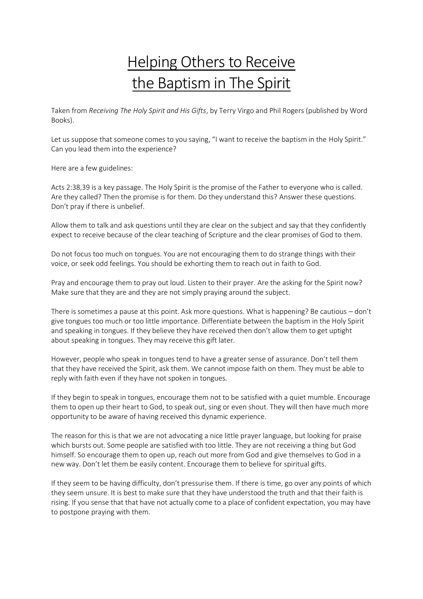## Helping Others to Receive the Baptism in The Spirit

Taken from *Receiving The Holy Spirit and His Gifts*, by Terry Virgo and Phil Rogers (published by Word Books).

Let us suppose that someone comes to you saying, "I want to receive the baptism in the Holy Spirit." Can you lead them into the experience?

Here are a few guidelines:

Acts 2:38,39 is a key passage. The Holy Spirit is the promise of the Father to everyone who is called. Are they called? Then the promise is for them. Do they understand this? Answer these questions. Don't pray if there is unbelief.

Allow them to talk and ask questions until they are clear on the subject and say that they confidently expect to receive because of the clear teaching of Scripture and the clear promises of God to them.

Do not focus too much on tongues. You are not encouraging them to do strange things with their voice, or seek odd feelings. You should be exhorting them to reach out in faith to God.

Pray and encourage them to pray out loud. Listen to their prayer. Are the asking for the Spirit now? Make sure that they are and they are not simply praying around the subject.

There is sometimes a pause at this point. Ask more questions. What is happening? Be cautious – don't give tongues too much or too little importance. Differentiate between the baptism in the Holy Spirit and speaking in tongues. If they believe they have received then don't allow them to get uptight about speaking in tongues. They may receive this gift later.

However, people who speak in tongues tend to have a greater sense of assurance. Don't tell them that they have received the Spirit, ask them. We cannot impose faith on them. They must be able to reply with faith even if they have not spoken in tongues.

If they begin to speak in tongues, encourage them not to be satisfied with a quiet mumble. Encourage them to open up their heart to God, to speak out, sing or even shout. They will then have much more opportunity to be aware of having received this dynamic experience.

The reason for this is that we are not advocating a nice little prayer language, but looking for praise which bursts out. Some people are satisfied with too little. They are not receiving a thing but God himself. So encourage them to open up, reach out more from God and give themselves to God in a new way. Don't let them be easily content. Encourage them to believe for spiritual gifts.

If they seem to be having difficulty, don't pressurise them. If there is time, go over any points of which they seem unsure. It is best to make sure that they have understood the truth and that their faith is rising. If you sense that that have not actually come to a place of confident expectation, you may have to postpone praying with them.